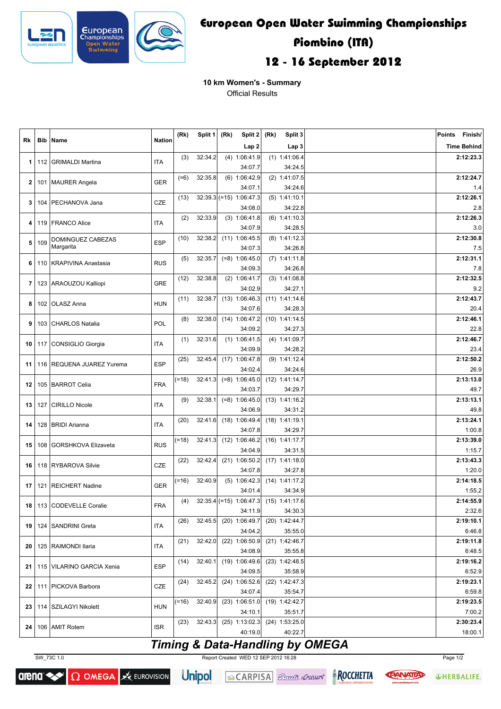

## **European Open Water Swimming Championships Piombino (ITA) 12 - 16 September 2012**

**10 km Women's - Summary** Official Results

| Rk   | <b>Bib</b> | Name                        | <b>Nation</b> | (Rk)    | Split 1 | (Rk) | Split 2<br>(Rk)<br>Split 3           |  | <b>Points</b><br>Finish/                 |                     |
|------|------------|-----------------------------|---------------|---------|---------|------|--------------------------------------|--|------------------------------------------|---------------------|
|      |            |                             |               |         |         |      | Lap <sub>2</sub>                     |  | Lap 3                                    | <b>Time Behind</b>  |
| 1    | 112        | <b>GRIMALDI Martina</b>     | <b>ITA</b>    | (3)     | 32:34.2 |      | $(4)$ 1:06:41.9                      |  | $(1)$ 1:41:06.4                          | 2:12:23.3           |
|      |            |                             |               |         |         |      | 34:07.7                              |  | 34:24.5                                  |                     |
| 2    |            | 101   MAURER Angela         | <b>GER</b>    | $(=6)$  | 32:35.8 |      | $(6)$ 1:06:42.9                      |  | $(2)$ 1:41:07.5                          | 2:12:24.7           |
|      |            |                             |               |         |         |      | 34:07.1                              |  | 34:24.6                                  | 1.4                 |
| 3    | 104        | PECHANOVA Jana              | <b>CZE</b>    | (13)    |         |      | $32:39.3$ (=15) 1:06:47.3<br>34:08.0 |  | $(5)$ 1:41:10.1<br>34:22.8               | 2:12:26.1           |
|      |            |                             |               | (2)     | 32:33.9 |      | $(3)$ 1:06:41.8                      |  | $(6)$ 1:41:10.3                          | 2.8<br>2:12:26.3    |
| 4    |            | 119   FRANCO Alice          | <b>ITA</b>    |         |         |      | 34:07.9                              |  | 34:28.5                                  | 3.0                 |
|      |            | <b>DOMINGUEZ CABEZAS</b>    |               | (10)    | 32:38.2 |      | $(11)$ 1:06:45.5                     |  | $(8)$ 1:41:12.3                          | 2:12:30.8           |
| 5    | 109        | Margarita                   | <b>ESP</b>    |         |         |      | 34:07.3                              |  | 34:26.8                                  | 7.5                 |
| 6    | 110        | <b>KRAPIVINA Anastasia</b>  | <b>RUS</b>    | (5)     | 32:35.7 |      | $(=8)$ 1:06:45.0                     |  | $(7)$ 1:41:11.8                          | 2:12:31.1           |
|      |            |                             |               |         |         |      | 34:09.3                              |  | 34:26.8                                  | 7.8                 |
| 7    |            | 123   ARAOUZOU Kalliopi     | <b>GRE</b>    | (12)    | 32:38.8 |      | $(2)$ 1:06:41.7                      |  | $(3)$ 1:41:08.8                          | 2:12:32.5           |
|      |            |                             |               |         |         |      | 34:02.9                              |  | 34:27.1                                  | 9.2                 |
| 8    |            | 102 OLASZ Anna              | <b>HUN</b>    | (11)    | 32:38.7 |      | (13) 1:06:46.3                       |  | $(11)$ 1:41:14.6                         | 2:12:43.7           |
|      |            |                             |               | (8)     | 32:38.0 |      | 34:07.6<br>(14) 1:06:47.2            |  | 34:28.3<br>$(10)$ 1:41:14.5              | 20.4<br>2:12:46.1   |
| 9    |            | 103   CHARLOS Natalia       | POL           |         |         |      | 34:09.2                              |  | 34:27.3                                  | 22.8                |
|      |            |                             |               | (1)     | 32:31.6 |      | $(1)$ 1:06:41.5                      |  | $(4)$ 1:41:09.7                          | 2:12:46.7           |
| 10   | 117        | CONSIGLIO Giorgia           | <b>ITA</b>    |         |         |      | 34:09.9                              |  | 34:28.2                                  | 23.4                |
|      |            |                             |               | (25)    | 32:45.4 |      | $(17)$ 1:06:47.8                     |  | $(9)$ 1:41:12.4                          | 2:12:50.2           |
| 11   |            | 116   REQUENA JUAREZ Yurema | <b>ESP</b>    |         |         |      | 34:02.4                              |  | 34:24.6                                  | 26.9                |
| 12   |            | 105   BARROT Celia          | <b>FRA</b>    | $(=18)$ | 32:41.3 |      | $(-8)$ 1:06:45.0                     |  | $(12)$ 1:41:14.7                         | 2:13:13.0           |
|      |            |                             |               |         |         |      | 34:03.7                              |  | 34:29.7                                  | 49.7                |
| 13   | 127        | <b>CIRILLO Nicole</b>       | <b>ITA</b>    | (9)     | 32:38.1 |      | $(-8)$ 1:06:45.0                     |  | $(13)$ 1:41:16.2                         | 2:13:13.1           |
|      |            |                             |               |         |         |      | 34:06.9                              |  | 34:31.2                                  | 49.8                |
| 14   |            | 128   BRIDI Arianna         | <b>ITA</b>    | (20)    | 32:41.6 |      | (18) 1:06:49.4<br>34:07.8            |  | $(18)$ 1:41:19.1<br>34:29.7              | 2:13:24.1<br>1:00.8 |
|      |            |                             |               | $(=18)$ | 32:41.3 |      | $(12)$ 1:06:46.2                     |  | $(16)$ 1:41:17.7                         | 2:13:39.0           |
| 15   | 108        | <b>GORSHKOVA Elizaveta</b>  | <b>RUS</b>    |         |         |      | 34:04.9                              |  | 34:31.5                                  | 1:15.7              |
|      |            |                             |               | (22)    | 32:42.4 |      | $(21)$ 1:06:50.2                     |  | $(17)$ 1:41:18.0                         | 2:13:43.3           |
| 16   |            | 118 RYBAROVA Silvie         | <b>CZE</b>    |         |         |      | 34:07.8                              |  | 34:27.8                                  | 1:20.0              |
| 17   |            | 121   REICHERT Nadine       | <b>GER</b>    | $(=16)$ | 32:40.9 |      | $(5)$ 1:06:42.3                      |  | $(14)$ 1:41:17.2                         | 2:14:18.5           |
|      |            |                             |               |         |         |      | 34:01.4                              |  | 34:34.9                                  | 1:55.2              |
| 18   |            | 113 CODEVELLE Coralie       | FRA           | (4)     |         |      |                                      |  | $32:35.4$ (=15) 1:06:47.3 (15) 1:41:17.6 | 2:14:55.9           |
|      |            |                             |               |         |         |      | 34:11.9                              |  | 34:30.3                                  | 2:32.6              |
| 19   |            | 124   SANDRINI Greta        | ITA           | (26)    | 32:45.5 |      | $(20)$ 1:06:49.7<br>34:04.2          |  | $(20)$ 1:42:44.7<br>35:55.0              | 2:19:10.1<br>6:46.8 |
|      |            |                             |               | (21)    | 32:42.0 |      | $(22)$ 1:06:50.9                     |  | $(21)$ 1:42:46.7                         | 2:19:11.8           |
| 20   |            | 125   RAIMONDI Ilaria       | <b>ITA</b>    |         |         |      | 34:08.9                              |  | 35:55.8                                  | 6:48.5              |
|      |            |                             |               | (14)    | 32:40.1 |      | (19) 1:06:49.6                       |  | $(23)$ 1:42:48.5                         | 2:19:16.2           |
| 21   |            | 115   VILARINO GARCIA Xenia | <b>ESP</b>    |         |         |      | 34:09.5                              |  | 35:58.9                                  | 6:52.9              |
| 22   |            | 111   PICKOVA Barbora       | CZE           | (24)    | 32:45.2 |      | $(24)$ 1:06:52.6                     |  | $(22)$ 1:42:47.3                         | 2:19:23.1           |
|      |            |                             |               |         |         |      | 34:07.4                              |  | 35:54.7                                  | 6:59.8              |
| 23   |            | 114   SZILAGYI Nikolett     | <b>HUN</b>    | (=16)   | 32:40.9 |      | $(23)$ 1:06:51.0                     |  | $(19)$ 1:42:42.7                         | 2:19:23.5           |
|      |            |                             |               |         |         |      | 34:10.1                              |  | 35:51.7                                  | 7:00.2              |
| 24 I |            | 106   AMIT Rotem            | <b>ISR</b>    | (23)    | 32:43.3 |      | $(25)$ 1:13:02.3                     |  | $(24)$ 1:53:25.0                         | 2:30:23.4           |
|      |            |                             |               |         |         |      | 40:19.0                              |  | 40:22.7                                  | 18:00.1             |

## **Timing & Data-Handling by OMEGA**

SW\_73C 1.0 Report Created WED 12 SEP 2012 16:28 Page 1/2





 $\Omega$  OMEGA  $\approx$  EUROVISION **Unipol**